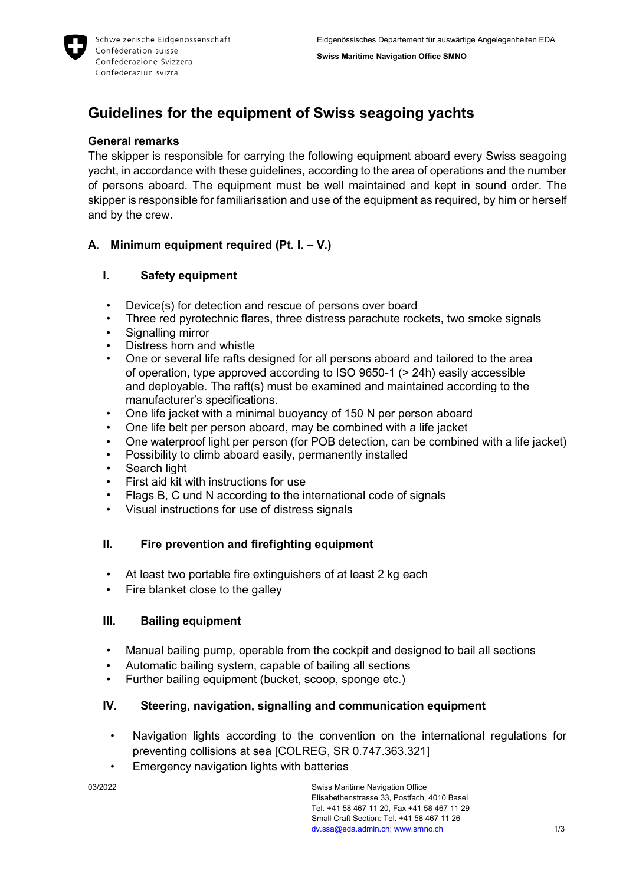**Swiss Maritime Navigation Office SMNO**



# **Guidelines for the equipment of Swiss seagoing yachts**

## **General remarks**

The skipper is responsible for carrying the following equipment aboard every Swiss seagoing yacht, in accordance with these guidelines, according to the area of operations and the number of persons aboard. The equipment must be well maintained and kept in sound order. The skipper is responsible for familiarisation and use of the equipment as required, by him or herself and by the crew.

# **A. Minimum equipment required (Pt. I. – V.)**

# **I. Safety equipment**

- Device(s) for detection and rescue of persons over board
- Three red pyrotechnic flares, three distress parachute rockets, two smoke signals
- Signalling mirror
- Distress horn and whistle
- One or several life rafts designed for all persons aboard and tailored to the area of operation, type approved according to ISO 9650-1 (> 24h) easily accessible and deployable. The raft(s) must be examined and maintained according to the manufacturer's specifications.
- One life jacket with a minimal buoyancy of 150 N per person aboard
- One life belt per person aboard, may be combined with a life jacket
- One waterproof light per person (for POB detection, can be combined with a life jacket)
- Possibility to climb aboard easily, permanently installed
- Search light
- First aid kit with instructions for use
- Flags B, C und N according to the international code of signals
- Visual instructions for use of distress signals

## **II. Fire prevention and firefighting equipment**

- At least two portable fire extinguishers of at least 2 kg each
- Fire blanket close to the galley

## **III. Bailing equipment**

- Manual bailing pump, operable from the cockpit and designed to bail all sections
- Automatic bailing system, capable of bailing all sections
- Further bailing equipment (bucket, scoop, sponge etc.)

# **IV. Steering, navigation, signalling and communication equipment**

- Navigation lights according to the convention on the international regulations for preventing collisions at sea [COLREG, SR 0.747.363.321]
- Emergency navigation lights with batteries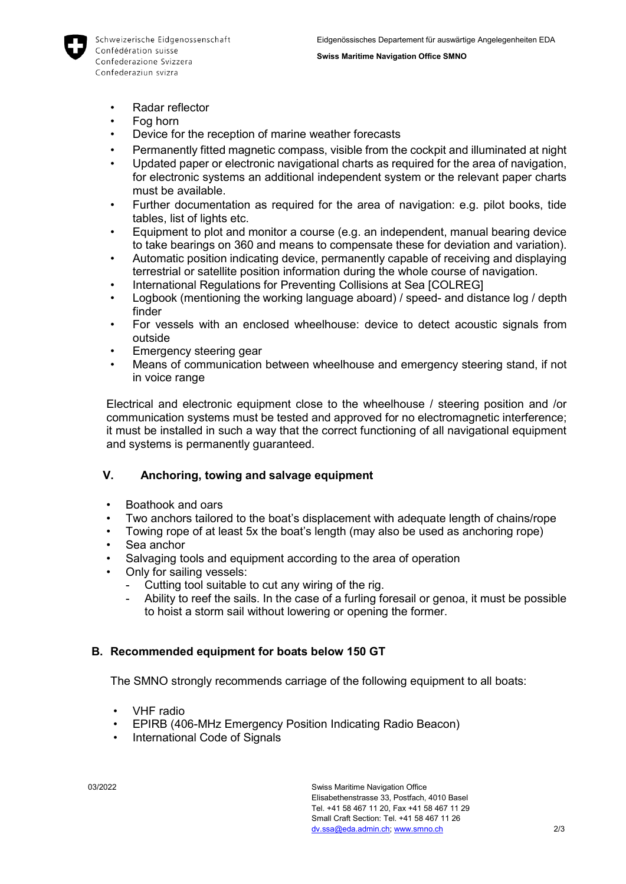

- Radar reflector
- Fog horn
- Device for the reception of marine weather forecasts
- Permanently fitted magnetic compass, visible from the cockpit and illuminated at night
- Updated paper or electronic navigational charts as required for the area of navigation, for electronic systems an additional independent system or the relevant paper charts must be available.
- Further documentation as required for the area of navigation: e.g. pilot books, tide tables, list of lights etc.
- Equipment to plot and monitor a course (e.g. an independent, manual bearing device to take bearings on 360 and means to compensate these for deviation and variation).
- Automatic position indicating device, permanently capable of receiving and displaying terrestrial or satellite position information during the whole course of navigation.
- International Regulations for Preventing Collisions at Sea [COLREG]
- Logbook (mentioning the working language aboard) / speed- and distance log / depth finder
- For vessels with an enclosed wheelhouse: device to detect acoustic signals from outside
- Emergency steering gear
- Means of communication between wheelhouse and emergency steering stand, if not in voice range

Electrical and electronic equipment close to the wheelhouse / steering position and /or communication systems must be tested and approved for no electromagnetic interference; it must be installed in such a way that the correct functioning of all navigational equipment and systems is permanently guaranteed.

#### **V. Anchoring, towing and salvage equipment**

- Boathook and oars
- Two anchors tailored to the boat's displacement with adequate length of chains/rope
- Towing rope of at least 5x the boat's length (may also be used as anchoring rope)
- Sea anchor
- Salvaging tools and equipment according to the area of operation
- Only for sailing vessels:
	- Cutting tool suitable to cut any wiring of the rig.
		- Ability to reef the sails. In the case of a furling foresail or genoa, it must be possible to hoist a storm sail without lowering or opening the former.

## **B. Recommended equipment for boats below 150 GT**

The SMNO strongly recommends carriage of the following equipment to all boats:

- VHF radio
- EPIRB (406-MHz Emergency Position Indicating Radio Beacon)
- International Code of Signals